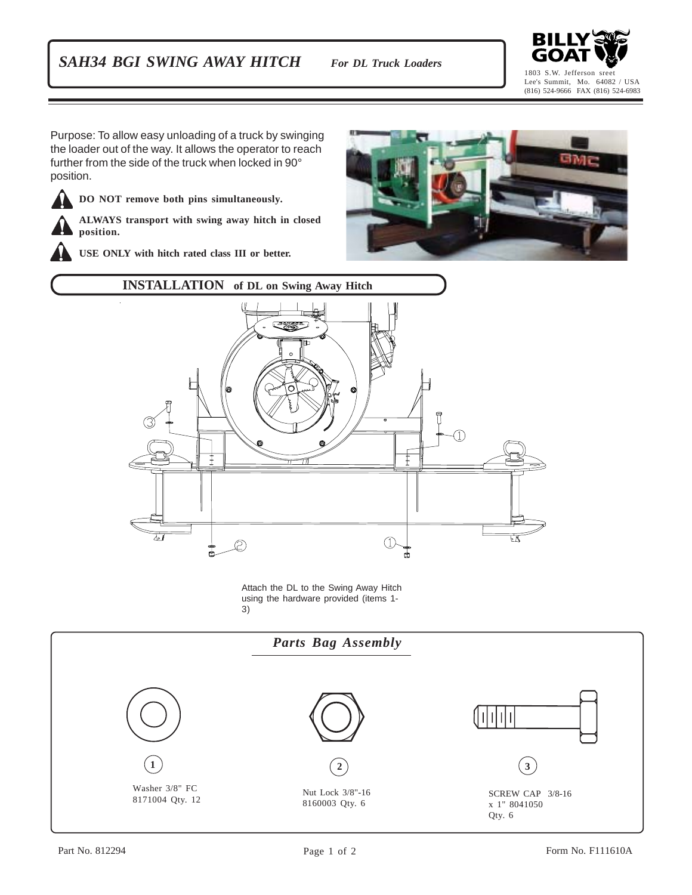## *SAH34 BGI SWING AWAY HITCH For DL Truck Loaders*



Purpose: To allow easy unloading of a truck by swinging the loader out of the way. It allows the operator to reach further from the side of the truck when locked in 90° position.

**DO NOT remove both pins simultaneously.**

**ALWAYS transport with swing away hitch in closed position.**

**USE ONLY with hitch rated class III or better.**





Attach the DL to the Swing Away Hitch using the hardware provided (items 1- 3)